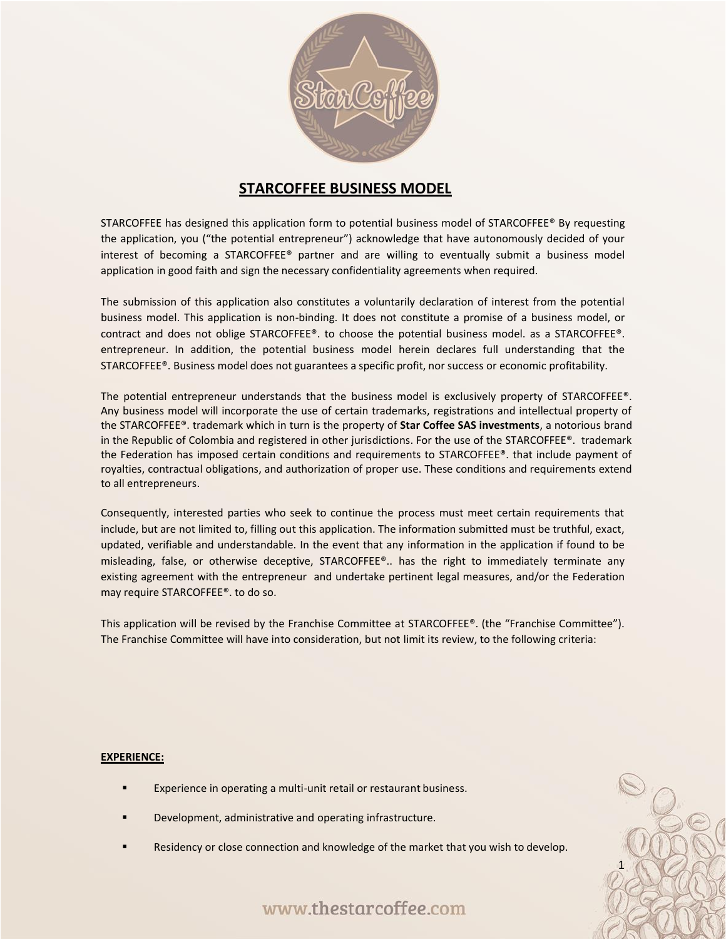

## **STARCOFFEE BUSINESS MODEL**

STARCOFFEE has designed this application form to potential business model of STARCOFFEE® By requesting the application, you ("the potential entrepreneur") acknowledge that have autonomously decided of your interest of becoming a STARCOFFEE® partner and are willing to eventually submit a business model application in good faith and sign the necessary confidentiality agreements when required.

The submission of this application also constitutes a voluntarily declaration of interest from the potential business model. This application is non-binding. It does not constitute a promise of a business model, or contract and does not oblige STARCOFFEE®. to choose the potential business model. as a STARCOFFEE®. entrepreneur. In addition, the potential business model herein declares full understanding that the STARCOFFEE®. Business model does not guarantees a specific profit, nor success or economic profitability.

The potential entrepreneur understands that the business model is exclusively property of STARCOFFEE®. Any business model will incorporate the use of certain trademarks, registrations and intellectual property of the STARCOFFEE®. trademark which in turn is the property of **Star Coffee SAS investments**, a notorious brand in the Republic of Colombia and registered in other jurisdictions. For the use of the STARCOFFEE®. trademark the Federation has imposed certain conditions and requirements to STARCOFFEE®. that include payment of royalties, contractual obligations, and authorization of proper use. These conditions and requirements extend to all entrepreneurs.

Consequently, interested parties who seek to continue the process must meet certain requirements that include, but are not limited to, filling out this application. The information submitted must be truthful, exact, updated, verifiable and understandable. In the event that any information in the application if found to be misleading, false, or otherwise deceptive, STARCOFFEE®.. has the right to immediately terminate any existing agreement with the entrepreneur and undertake pertinent legal measures, and/or the Federation may require STARCOFFEE®. to do so.

This application will be revised by the Franchise Committee at STARCOFFEE®. (the "Franchise Committee"). The Franchise Committee will have into consideration, but not limit its review, to the following criteria:

#### **EXPERIENCE:**

- Experience in operating a multi-unit retail or restaurant business.
- Development, administrative and operating infrastructure.
- Residency or close connection and knowledge of the market that you wish to develop.

www.thestarcoffee.com

1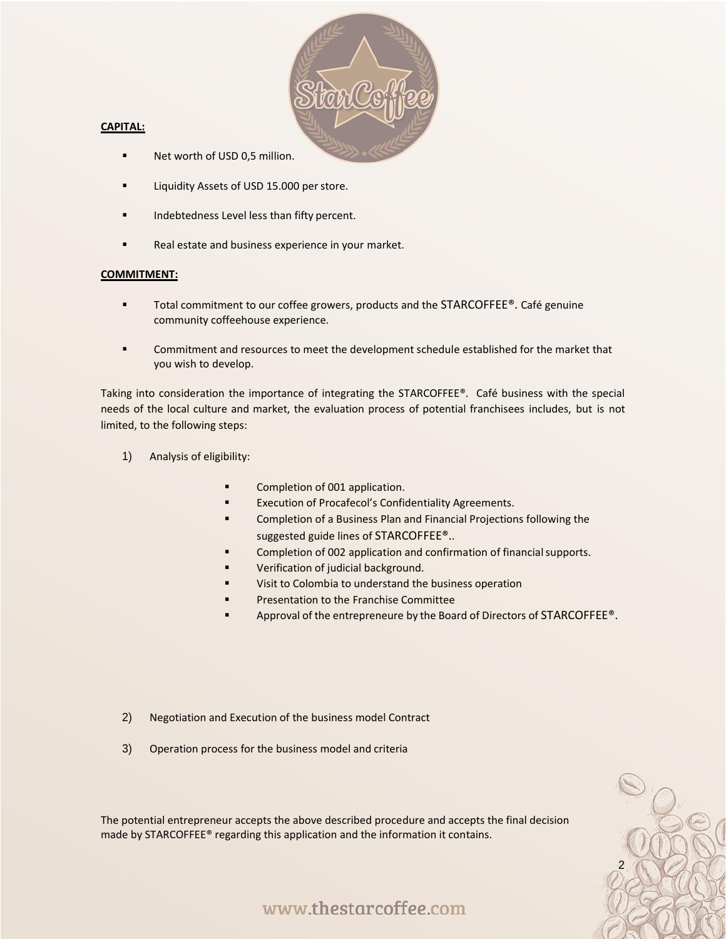

#### **CAPITAL:**

- Net worth of USD 0,5 million.
- Liquidity Assets of USD 15.000 per store.
- Indebtedness Level less than fifty percent.
- Real estate and business experience in your market.

#### **COMMITMENT:**

- Total commitment to our coffee growers, products and the STARCOFFEE®. Café genuine community coffeehouse experience.
- **■** Commitment and resources to meet the development schedule established for the market that you wish to develop.

Taking into consideration the importance of integrating the STARCOFFEE®. Café business with the special needs of the local culture and market, the evaluation process of potential franchisees includes, but is not limited, to the following steps:

- 1) Analysis of eligibility:
	- Completion of 001 application.
	- Execution of Procafecol's Confidentiality Agreements.
	- Completion of a Business Plan and Financial Projections following the suggested guide lines of STARCOFFEE®..
	- Completion of 002 application and confirmation of financial supports.
	- **■** Verification of judicial background.
	- Visit to Colombia to understand the business operation
	- **Presentation to the Franchise Committee**
	- Approval of the entrepreneure by the Board of Directors of STARCOFFEE<sup>®</sup>.

2

- 2) Negotiation and Execution of the business model Contract
- 3) Operation process for the business model and criteria

The potential entrepreneur accepts the above described procedure and accepts the final decision made by STARCOFFEE® regarding this application and the information it contains.

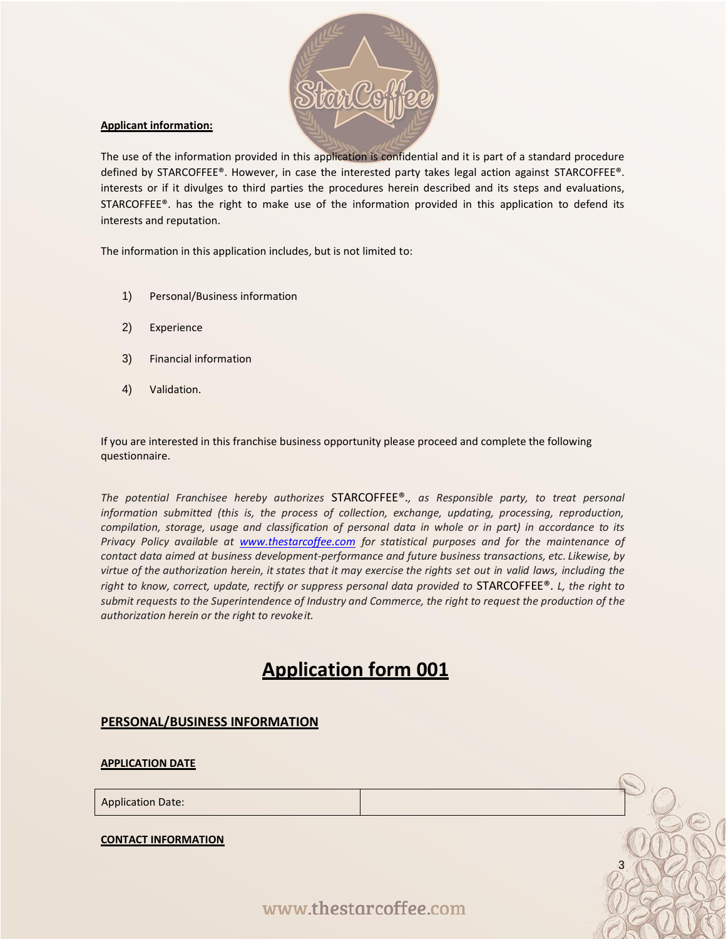

#### **Applicant information:**

The use of the information provided in this application is confidential and it is part of a standard procedure defined by STARCOFFEE®. However, in case the interested party takes legal action against STARCOFFEE®. interests or if it divulges to third parties the procedures herein described and its steps and evaluations, STARCOFFEE®. has the right to make use of the information provided in this application to defend its interests and reputation.

The information in this application includes, but is not limited to:

- 1) Personal/Business information
- 2) Experience
- 3) Financial information
- 4) Validation.

If you are interested in this franchise business opportunity please proceed and complete the following questionnaire.

*The potential Franchisee hereby authorizes* STARCOFFEE®.*, as Responsible party, to treat personal information submitted (this is, the process of collection, exchange, updating, processing, reproduction, compilation, storage, usage and classification of personal data in whole or in part) in accordance to its Privacy Policy available at [www.thestarcoffee.com](http://www.thestarcoffee.com/) for statistical purposes and for the maintenance of contact data aimed at business development-performance and future business transactions, etc. Likewise, by virtue of the authorization herein, it states that it may exercise the rights set out in valid laws, including the right to know, correct, update, rectify or suppress personal data provided to* STARCOFFEE®. *L, the right to submit requests to the Superintendence of Industry and Commerce, the right to request the production of the authorization herein or the right to revokeit.*

# **Application form 001**

#### **PERSONAL/BUSINESS INFORMATION**

**APPLICATION DATE**

Application Date:

**CONTACT INFORMATION**

www.thestarcoffee.com

3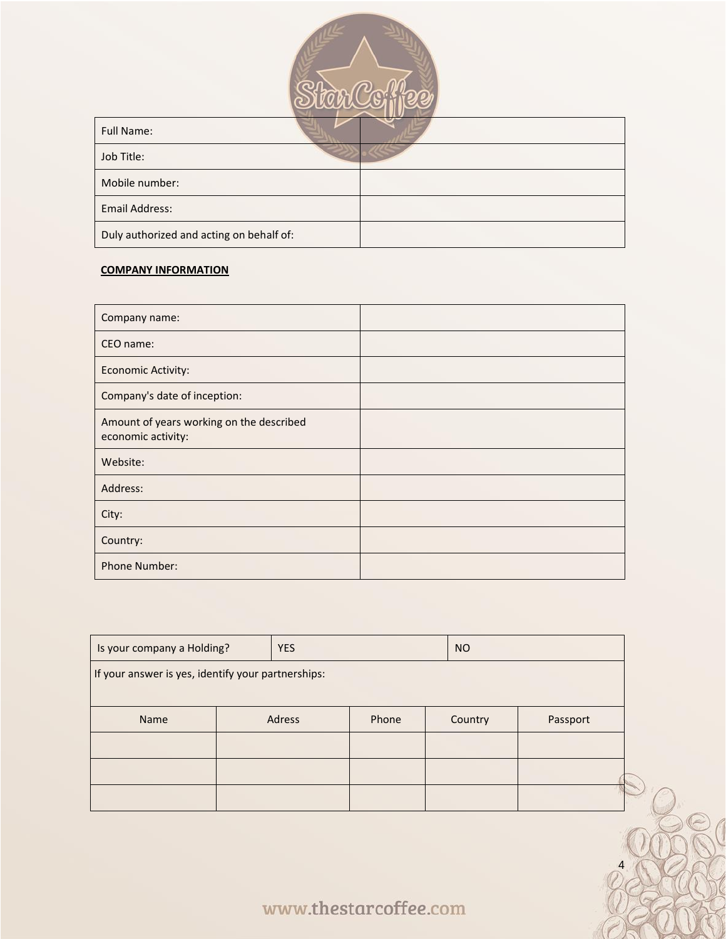

| <b>Full Name:</b>                        |  |
|------------------------------------------|--|
| Job Title:                               |  |
| Mobile number:                           |  |
| Email Address:                           |  |
| Duly authorized and acting on behalf of: |  |

## **COMPANY INFORMATION**

| Company name:                                                  |  |
|----------------------------------------------------------------|--|
| CEO name:                                                      |  |
| <b>Economic Activity:</b>                                      |  |
| Company's date of inception:                                   |  |
| Amount of years working on the described<br>economic activity: |  |
| Website:                                                       |  |
| Address:                                                       |  |
| City:                                                          |  |
| Country:                                                       |  |
| Phone Number:                                                  |  |

| Is your company a Holding?                         | <b>YES</b> |       | <b>NO</b> |         |          |
|----------------------------------------------------|------------|-------|-----------|---------|----------|
| If your answer is yes, identify your partnerships: |            |       |           |         |          |
|                                                    |            |       |           |         |          |
| Name                                               | Adress     | Phone |           | Country | Passport |
|                                                    |            |       |           |         |          |
|                                                    |            |       |           |         |          |
|                                                    |            |       |           |         |          |
|                                                    |            |       |           |         |          |

www.thestarcoffee.com

4

 $\mathbb{C}$ 

 $\mathbb{Z}$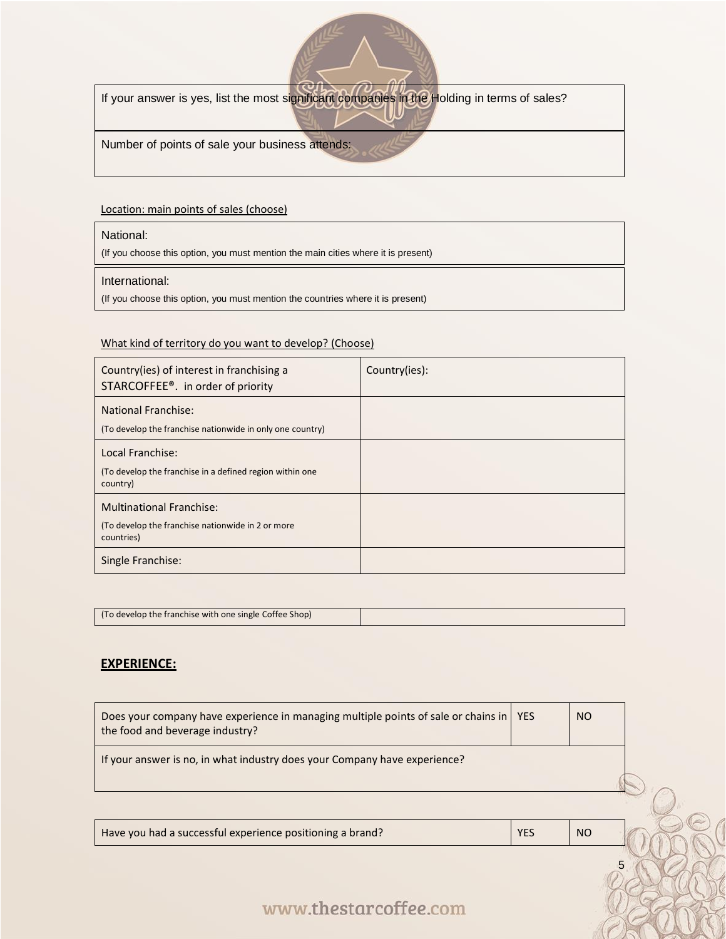

If your answer is yes, list the most significant companies in the Holding in terms of sales?

Number of points of sale your business attends:

#### Location: main points of sales (choose)

#### National:

(If you choose this option, you must mention the main cities where it is present)

#### International:

(If you choose this option, you must mention the countries where it is present)

#### What kind of territory do you want to develop? (Choose)

| Country(ies) of interest in franchising a<br>STARCOFFEE <sup>®</sup> . in order of priority        | Country(ies): |
|----------------------------------------------------------------------------------------------------|---------------|
| <b>National Franchise:</b><br>(To develop the franchise nationwide in only one country)            |               |
| Local Franchise:<br>(To develop the franchise in a defined region within one)<br>country)          |               |
| <b>Multinational Franchise:</b><br>(To develop the franchise nationwide in 2 or more<br>countries) |               |
| Single Franchise:                                                                                  |               |

| (To develop the franchise with one single Coffee Shop) |  |
|--------------------------------------------------------|--|

## **EXPERIENCE:**

| Does your company have experience in managing multiple points of sale or chains in   YES<br>the food and beverage industry? |            | <sub>NO</sub> |  |
|-----------------------------------------------------------------------------------------------------------------------------|------------|---------------|--|
| If your answer is no, in what industry does your Company have experience?                                                   |            |               |  |
|                                                                                                                             |            |               |  |
|                                                                                                                             |            |               |  |
| Have you had a successful experience positioning a brand?                                                                   | <b>YES</b> | <sub>NO</sub> |  |

5

# www.thestarcoffee.com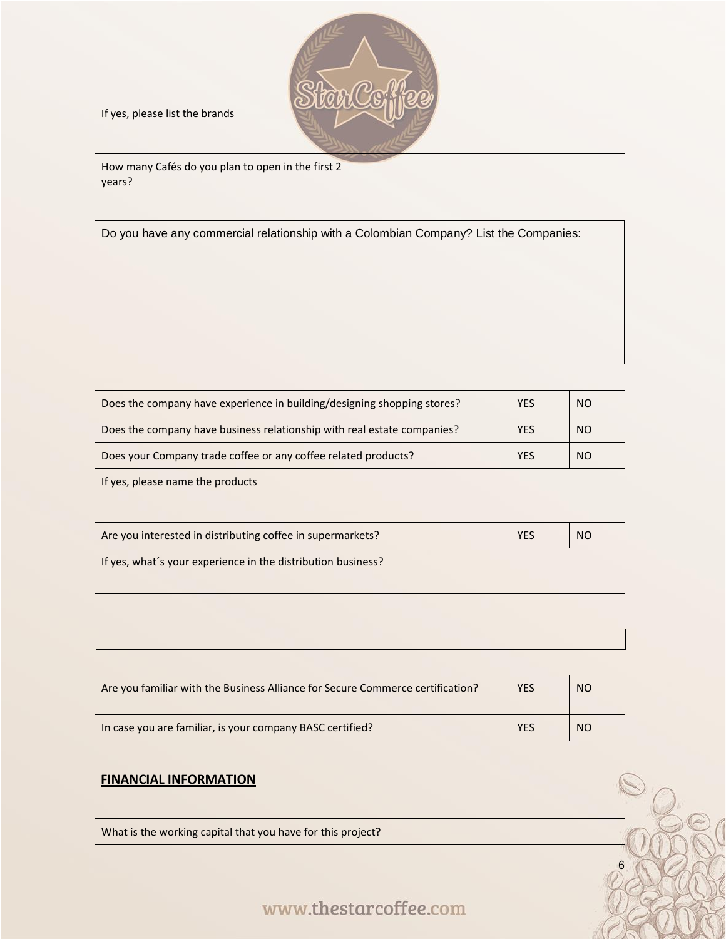| If yes, please list the brands                              |
|-------------------------------------------------------------|
|                                                             |
| How many Cafés do you plan to open in the first 2<br>years? |

Do you have any commercial relationship with a Colombian Company? List the Companies:

| Does the company have experience in building/designing shopping stores? | <b>YES</b> | <sub>NO</sub>  |
|-------------------------------------------------------------------------|------------|----------------|
| Does the company have business relationship with real estate companies? | <b>YES</b> | <sub>NO</sub>  |
| Does your Company trade coffee or any coffee related products?          | <b>YES</b> | N <sub>O</sub> |
| If yes, please name the products                                        |            |                |

| Are you interested in distributing coffee in supermarkets?   | <b>YES</b> | <sub>NO</sub> |
|--------------------------------------------------------------|------------|---------------|
| If yes, what's your experience in the distribution business? |            |               |

| Are you familiar with the Business Alliance for Secure Commerce certification? | <b>YES</b> | NO <sub>1</sub> |
|--------------------------------------------------------------------------------|------------|-----------------|
| In case you are familiar, is your company BASC certified?                      | <b>YES</b> | NO.             |

## **FINANCIAL INFORMATION**

What is the working capital that you have for this project?

# www.thestarcoffee.com

6

S

 $\mathcal{C}_\mathcal{C}$ 

1